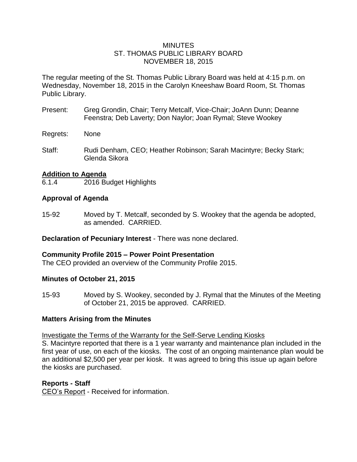## **MINUTES** ST. THOMAS PUBLIC LIBRARY BOARD NOVEMBER 18, 2015

The regular meeting of the St. Thomas Public Library Board was held at 4:15 p.m. on Wednesday, November 18, 2015 in the Carolyn Kneeshaw Board Room, St. Thomas Public Library.

- Present: Greg Grondin, Chair; Terry Metcalf, Vice-Chair; JoAnn Dunn; Deanne Feenstra; Deb Laverty; Don Naylor; Joan Rymal; Steve Wookey
- Regrets: None
- Staff: Rudi Denham, CEO; Heather Robinson; Sarah Macintyre; Becky Stark; Glenda Sikora

## **Addition to Agenda**

6.1.4 2016 Budget Highlights

## **Approval of Agenda**

15-92 Moved by T. Metcalf, seconded by S. Wookey that the agenda be adopted, as amended. CARRIED.

**Declaration of Pecuniary Interest** - There was none declared.

## **Community Profile 2015 – Power Point Presentation**

The CEO provided an overview of the Community Profile 2015.

## **Minutes of October 21, 2015**

15-93 Moved by S. Wookey, seconded by J. Rymal that the Minutes of the Meeting of October 21, 2015 be approved. CARRIED.

## **Matters Arising from the Minutes**

Investigate the Terms of the Warranty for the Self-Serve Lending Kiosks

S. Macintyre reported that there is a 1 year warranty and maintenance plan included in the first year of use, on each of the kiosks. The cost of an ongoing maintenance plan would be an additional \$2,500 per year per kiosk. It was agreed to bring this issue up again before the kiosks are purchased.

## **Reports - Staff**

CEO's Report - Received for information.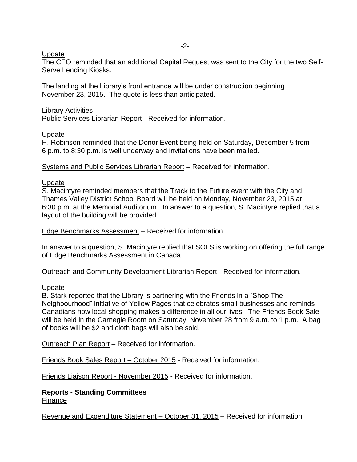## Update

The CEO reminded that an additional Capital Request was sent to the City for the two Self-Serve Lending Kiosks.

The landing at the Library's front entrance will be under construction beginning November 23, 2015. The quote is less than anticipated.

### Library Activities

Public Services Librarian Report - Received for information.

## Update

H. Robinson reminded that the Donor Event being held on Saturday, December 5 from 6 p.m. to 8:30 p.m. is well underway and invitations have been mailed.

#### Systems and Public Services Librarian Report – Received for information.

## Update

S. Macintyre reminded members that the Track to the Future event with the City and Thames Valley District School Board will be held on Monday, November 23, 2015 at 6:30 p.m. at the Memorial Auditorium. In answer to a question, S. Macintyre replied that a layout of the building will be provided.

Edge Benchmarks Assessment – Received for information.

In answer to a question, S. Macintyre replied that SOLS is working on offering the full range of Edge Benchmarks Assessment in Canada.

Outreach and Community Development Librarian Report - Received for information.

## Update

B. Stark reported that the Library is partnering with the Friends in a "Shop The Neighbourhood" initiative of Yellow Pages that celebrates small businesses and reminds Canadians how local shopping makes a difference in all our lives. The Friends Book Sale will be held in the Carnegie Room on Saturday, November 28 from 9 a.m. to 1 p.m. A bag of books will be \$2 and cloth bags will also be sold.

Outreach Plan Report – Received for information.

Friends Book Sales Report – October 2015 - Received for information.

Friends Liaison Report - November 2015 - Received for information.

**Reports - Standing Committees** Finance

Revenue and Expenditure Statement – October 31, 2015 – Received for information.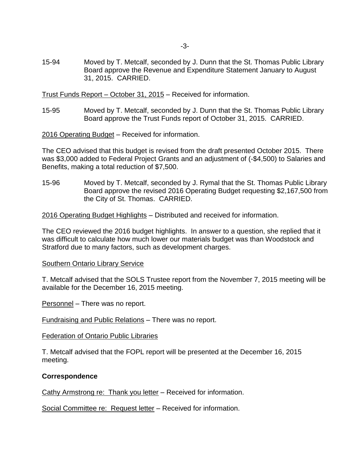15-94 Moved by T. Metcalf, seconded by J. Dunn that the St. Thomas Public Library Board approve the Revenue and Expenditure Statement January to August 31, 2015. CARRIED.

Trust Funds Report – October 31, 2015 – Received for information.

15-95 Moved by T. Metcalf, seconded by J. Dunn that the St. Thomas Public Library Board approve the Trust Funds report of October 31, 2015. CARRIED.

2016 Operating Budget – Received for information.

The CEO advised that this budget is revised from the draft presented October 2015. There was \$3,000 added to Federal Project Grants and an adjustment of (-\$4,500) to Salaries and Benefits, making a total reduction of \$7,500.

15-96 Moved by T. Metcalf, seconded by J. Rymal that the St. Thomas Public Library Board approve the revised 2016 Operating Budget requesting \$2,167,500 from the City of St. Thomas. CARRIED.

2016 Operating Budget Highlights – Distributed and received for information.

The CEO reviewed the 2016 budget highlights. In answer to a question, she replied that it was difficult to calculate how much lower our materials budget was than Woodstock and Stratford due to many factors, such as development charges.

#### Southern Ontario Library Service

T. Metcalf advised that the SOLS Trustee report from the November 7, 2015 meeting will be available for the December 16, 2015 meeting.

Personnel – There was no report.

Fundraising and Public Relations – There was no report.

#### Federation of Ontario Public Libraries

T. Metcalf advised that the FOPL report will be presented at the December 16, 2015 meeting.

#### **Correspondence**

Cathy Armstrong re: Thank you letter – Received for information.

Social Committee re: Request letter – Received for information.